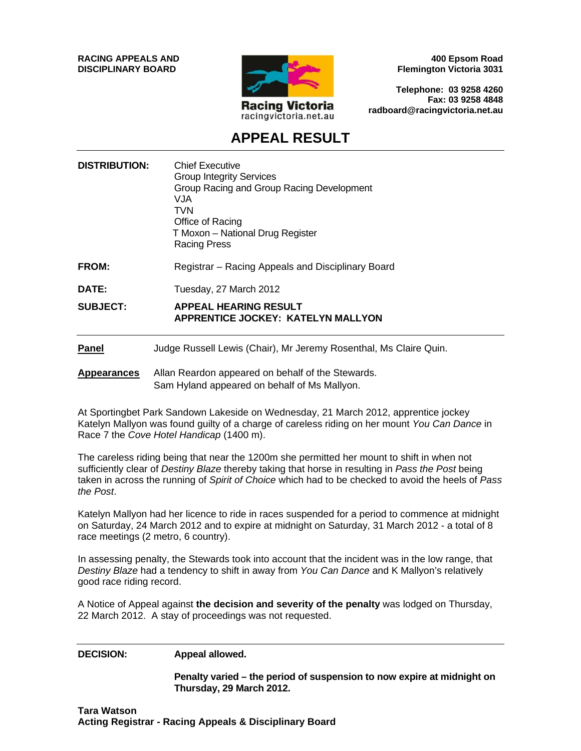**RACING APPEALS AND DISCIPLINARY BOARD**



**400 Epsom Road Flemington Victoria 3031**

**Telephone: 03 9258 4260 Fax: 03 9258 4848 radboard@racingvictoria.net.au**

## **APPEAL RESULT**

| <b>DISTRIBUTION:</b> | <b>Chief Executive</b><br><b>Group Integrity Services</b><br>Group Racing and Group Racing Development<br>VJA.<br>TVN<br>Office of Racing<br>T Moxon - National Drug Register<br><b>Racing Press</b> |
|----------------------|------------------------------------------------------------------------------------------------------------------------------------------------------------------------------------------------------|
| FROM:                | Registrar – Racing Appeals and Disciplinary Board                                                                                                                                                    |
| DATE:                | Tuesday, 27 March 2012                                                                                                                                                                               |
| <b>SUBJECT:</b>      | <b>APPEAL HEARING RESULT</b><br><b>APPRENTICE JOCKEY: KATELYN MALLYON</b>                                                                                                                            |
| <b>Panel</b>         | Judge Russell Lewis (Chair), Mr Jeremy Rosenthal, Ms Claire Quin.                                                                                                                                    |

**Appearances** Allan Reardon appeared on behalf of the Stewards. Sam Hyland appeared on behalf of Ms Mallyon.

At Sportingbet Park Sandown Lakeside on Wednesday, 21 March 2012, apprentice jockey Katelyn Mallyon was found guilty of a charge of careless riding on her mount *You Can Dance* in Race 7 the *Cove Hotel Handicap* (1400 m).

The careless riding being that near the 1200m she permitted her mount to shift in when not sufficiently clear of *Destiny Blaze* thereby taking that horse in resulting in *Pass the Post* being taken in across the running of *Spirit of Choice* which had to be checked to avoid the heels of *Pass the Post*.

Katelyn Mallyon had her licence to ride in races suspended for a period to commence at midnight on Saturday, 24 March 2012 and to expire at midnight on Saturday, 31 March 2012 - a total of 8 race meetings (2 metro, 6 country).

In assessing penalty, the Stewards took into account that the incident was in the low range, that *Destiny Blaze* had a tendency to shift in away from *You Can Dance* and K Mallyon's relatively good race riding record.

A Notice of Appeal against **the decision and severity of the penalty** was lodged on Thursday, 22 March 2012. A stay of proceedings was not requested.

**DECISION: Appeal allowed.** 

**Penalty varied – the period of suspension to now expire at midnight on Thursday, 29 March 2012.**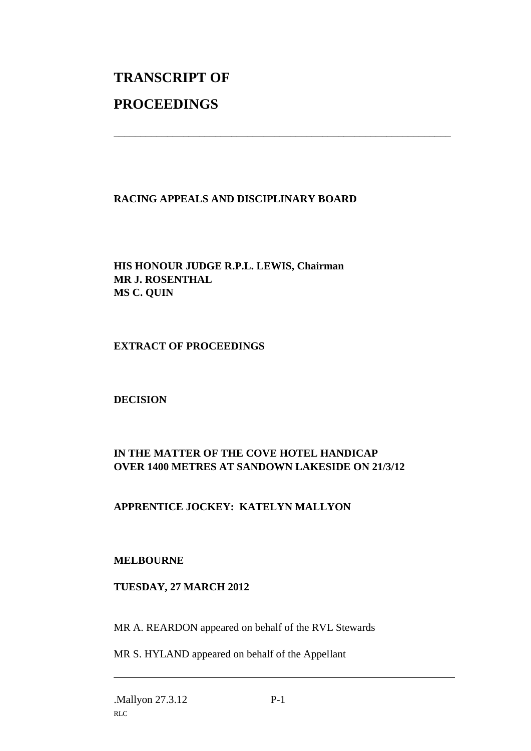# **TRANSCRIPT OF PROCEEDINGS**

## **RACING APPEALS AND DISCIPLINARY BOARD**

\_\_\_\_\_\_\_\_\_\_\_\_\_\_\_\_\_\_\_\_\_\_\_\_\_\_\_\_\_\_\_\_\_\_\_\_\_\_\_\_\_\_\_\_\_\_\_\_\_\_\_\_\_\_\_\_\_\_\_\_\_\_\_

**HIS HONOUR JUDGE R.P.L. LEWIS, Chairman MR J. ROSENTHAL MS C. QUIN**

#### **EXTRACT OF PROCEEDINGS**

#### **DECISION**

## **IN THE MATTER OF THE COVE HOTEL HANDICAP OVER 1400 METRES AT SANDOWN LAKESIDE ON 21/3/12**

## **APPRENTICE JOCKEY: KATELYN MALLYON**

#### **MELBOURNE**

## **TUESDAY, 27 MARCH 2012**

MR A. REARDON appeared on behalf of the RVL Stewards

MR S. HYLAND appeared on behalf of the Appellant